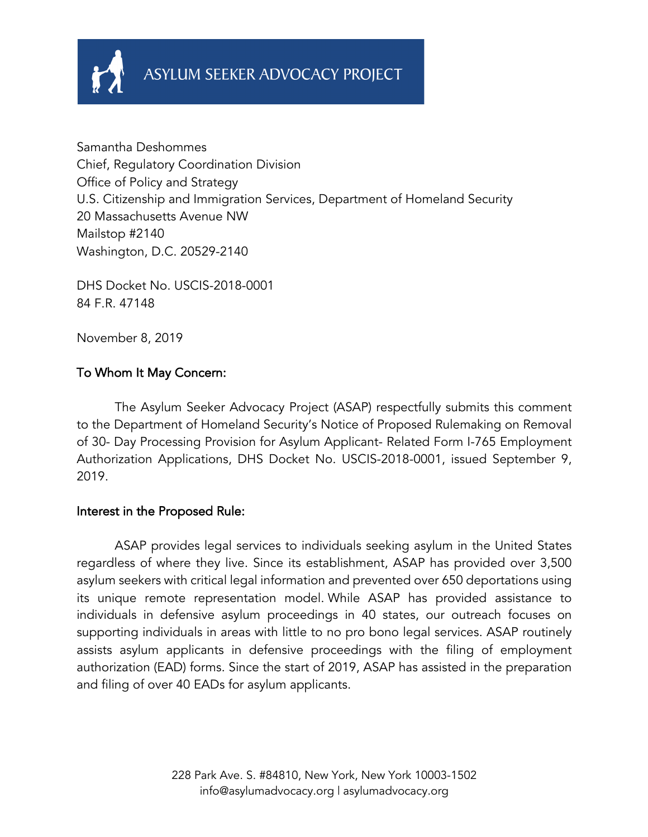

Samantha Deshommes Chief, Regulatory Coordination Division Office of Policy and Strategy U.S. Citizenship and Immigration Services, Department of Homeland Security 20 Massachusetts Avenue NW Mailstop #2140 Washington, D.C. 20529-2140

DHS Docket No. USCIS-2018-0001 84 F.R. 47148

November 8, 2019

## To Whom It May Concern:

The Asylum Seeker Advocacy Project (ASAP) respectfully submits this comment to the Department of Homeland Security's Notice of Proposed Rulemaking on Removal of 30- Day Processing Provision for Asylum Applicant- Related Form I-765 Employment Authorization Applications, DHS Docket No. USCIS-2018-0001, issued September 9, 2019.

### Interest in the Proposed Rule:

ASAP provides legal services to individuals seeking asylum in the United States regardless of where they live. Since its establishment, ASAP has provided over 3,500 asylum seekers with critical legal information and prevented over 650 deportations using its unique remote representation model. While ASAP has provided assistance to individuals in defensive asylum proceedings in 40 states, our outreach focuses on supporting individuals in areas with little to no pro bono legal services. ASAP routinely assists asylum applicants in defensive proceedings with the filing of employment authorization (EAD) forms. Since the start of 2019, ASAP has assisted in the preparation and filing of over 40 EADs for asylum applicants.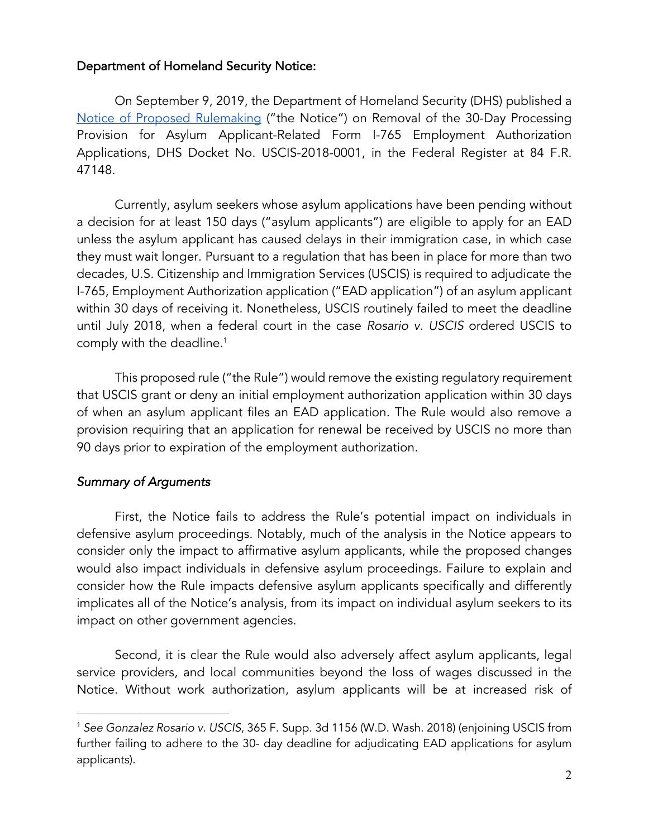### Department of Homeland Security Notice:

On September 9, 2019, the Department of Homeland Security (DHS) published a Notice of Proposed Rulemaking ("the Notice") on Removal of the 30-Day Processing Provision for Asylum Applicant-Related Form I-765 Employment Authorization Applications, DHS Docket No. USCIS-2018-0001, in the Federal Register at 84 F.R. 47148.

Currently, asylum seekers whose asylum applications have been pending without a decision for at least 150 days ("asylum applicants") are eligible to apply for an EAD unless the asylum applicant has caused delays in their immigration case, in which case they must wait longer. Pursuant to a regulation that has been in place for more than two decades, U.S. Citizenship and Immigration Services (USCIS) is required to adjudicate the I-765, Employment Authorization application ("EAD application") of an asylum applicant within 30 days of receiving it. Nonetheless, USCIS routinely failed to meet the deadline until July 2018, when a federal court in the case *Rosario v. USCIS* ordered USCIS to comply with the deadline.1

This proposed rule ("the Rule") would remove the existing regulatory requirement that USCIS grant or deny an initial employment authorization application within 30 days of when an asylum applicant files an EAD application. The Rule would also remove a provision requiring that an application for renewal be received by USCIS no more than 90 days prior to expiration of the employment authorization.

## *Summary of Arguments*

First, the Notice fails to address the Rule's potential impact on individuals in defensive asylum proceedings. Notably, much of the analysis in the Notice appears to consider only the impact to affirmative asylum applicants, while the proposed changes would also impact individuals in defensive asylum proceedings. Failure to explain and consider how the Rule impacts defensive asylum applicants specifically and differently implicates all of the Notice's analysis, from its impact on individual asylum seekers to its impact on other government agencies.

Second, it is clear the Rule would also adversely affect asylum applicants, legal service providers, and local communities beyond the loss of wages discussed in the Notice. Without work authorization, asylum applicants will be at increased risk of

<sup>1</sup> *See Gonzalez Rosario v. USCIS*, 365 F. Supp. 3d 1156 (W.D. Wash. 2018) (enjoining USCIS from further failing to adhere to the 30- day deadline for adjudicating EAD applications for asylum applicants).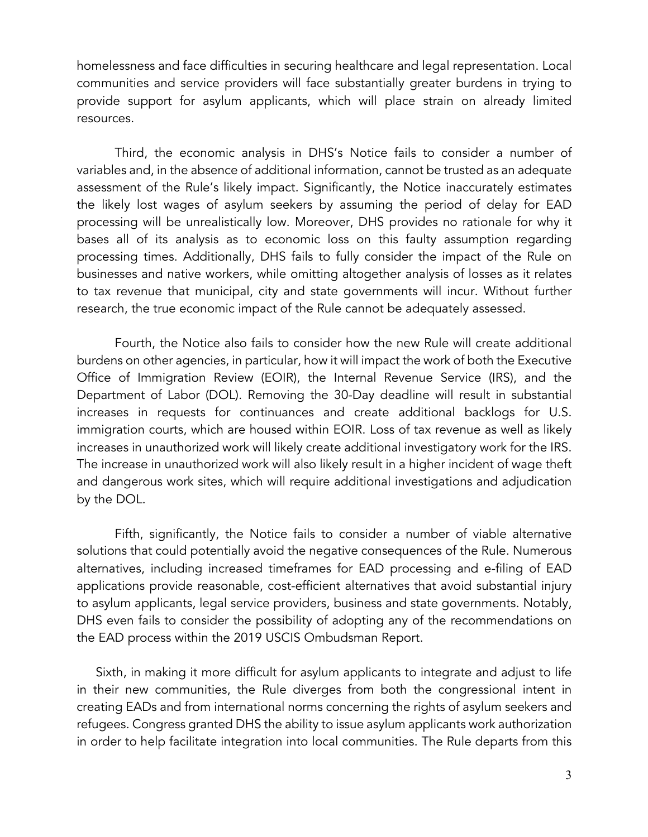homelessness and face difficulties in securing healthcare and legal representation. Local communities and service providers will face substantially greater burdens in trying to provide support for asylum applicants, which will place strain on already limited resources.

Third, the economic analysis in DHS's Notice fails to consider a number of variables and, in the absence of additional information, cannot be trusted as an adequate assessment of the Rule's likely impact. Significantly, the Notice inaccurately estimates the likely lost wages of asylum seekers by assuming the period of delay for EAD processing will be unrealistically low. Moreover, DHS provides no rationale for why it bases all of its analysis as to economic loss on this faulty assumption regarding processing times. Additionally, DHS fails to fully consider the impact of the Rule on businesses and native workers, while omitting altogether analysis of losses as it relates to tax revenue that municipal, city and state governments will incur. Without further research, the true economic impact of the Rule cannot be adequately assessed.

Fourth, the Notice also fails to consider how the new Rule will create additional burdens on other agencies, in particular, how it will impact the work of both the Executive Office of Immigration Review (EOIR), the Internal Revenue Service (IRS), and the Department of Labor (DOL). Removing the 30-Day deadline will result in substantial increases in requests for continuances and create additional backlogs for U.S. immigration courts, which are housed within EOIR. Loss of tax revenue as well as likely increases in unauthorized work will likely create additional investigatory work for the IRS. The increase in unauthorized work will also likely result in a higher incident of wage theft and dangerous work sites, which will require additional investigations and adjudication by the DOL.

Fifth, significantly, the Notice fails to consider a number of viable alternative solutions that could potentially avoid the negative consequences of the Rule. Numerous alternatives, including increased timeframes for EAD processing and e-filing of EAD applications provide reasonable, cost-efficient alternatives that avoid substantial injury to asylum applicants, legal service providers, business and state governments. Notably, DHS even fails to consider the possibility of adopting any of the recommendations on the EAD process within the 2019 USCIS Ombudsman Report.

Sixth, in making it more difficult for asylum applicants to integrate and adjust to life in their new communities, the Rule diverges from both the congressional intent in creating EADs and from international norms concerning the rights of asylum seekers and refugees. Congress granted DHS the ability to issue asylum applicants work authorization in order to help facilitate integration into local communities. The Rule departs from this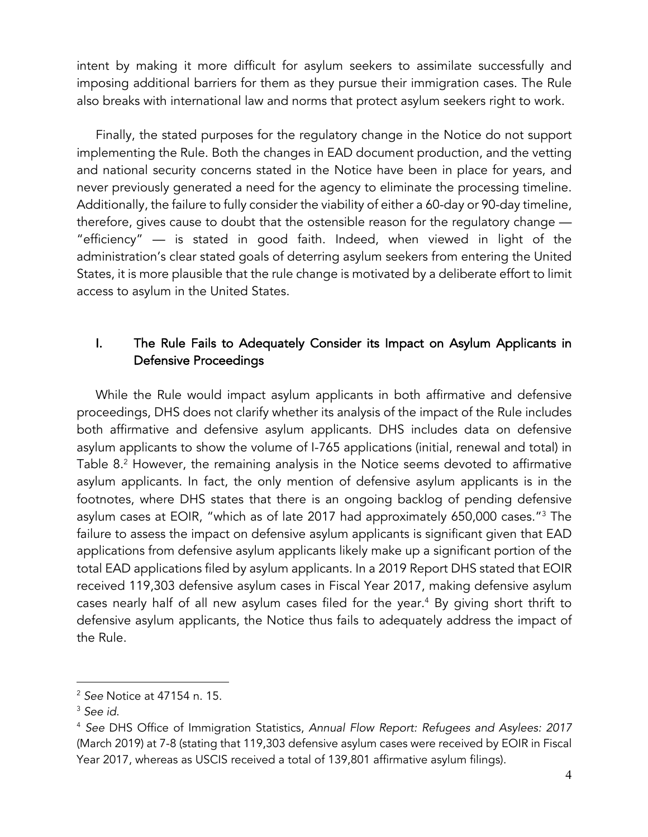intent by making it more difficult for asylum seekers to assimilate successfully and imposing additional barriers for them as they pursue their immigration cases. The Rule also breaks with international law and norms that protect asylum seekers right to work.

Finally, the stated purposes for the regulatory change in the Notice do not support implementing the Rule. Both the changes in EAD document production, and the vetting and national security concerns stated in the Notice have been in place for years, and never previously generated a need for the agency to eliminate the processing timeline. Additionally, the failure to fully consider the viability of either a 60-day or 90-day timeline, therefore, gives cause to doubt that the ostensible reason for the regulatory change — "efficiency" — is stated in good faith. Indeed, when viewed in light of the administration's clear stated goals of deterring asylum seekers from entering the United States, it is more plausible that the rule change is motivated by a deliberate effort to limit access to asylum in the United States.

## I. The Rule Fails to Adequately Consider its Impact on Asylum Applicants in Defensive Proceedings

While the Rule would impact asylum applicants in both affirmative and defensive proceedings, DHS does not clarify whether its analysis of the impact of the Rule includes both affirmative and defensive asylum applicants. DHS includes data on defensive asylum applicants to show the volume of I-765 applications (initial, renewal and total) in Table 8. <sup>2</sup> However, the remaining analysis in the Notice seems devoted to affirmative asylum applicants. In fact, the only mention of defensive asylum applicants is in the footnotes, where DHS states that there is an ongoing backlog of pending defensive asylum cases at EOIR, "which as of late 2017 had approximately 650,000 cases."3 The failure to assess the impact on defensive asylum applicants is significant given that EAD applications from defensive asylum applicants likely make up a significant portion of the total EAD applications filed by asylum applicants. In a 2019 Report DHS stated that EOIR received 119,303 defensive asylum cases in Fiscal Year 2017, making defensive asylum cases nearly half of all new asylum cases filed for the year. <sup>4</sup> By giving short thrift to defensive asylum applicants, the Notice thus fails to adequately address the impact of the Rule.

<sup>2</sup> *See* Notice at 47154 n. 15.

<sup>3</sup> *See id*.

<sup>4</sup> *See* DHS Office of Immigration Statistics, *Annual Flow Report: Refugees and Asylees: 2017* (March 2019) at 7-8 (stating that 119,303 defensive asylum cases were received by EOIR in Fiscal Year 2017, whereas as USCIS received a total of 139,801 affirmative asylum filings).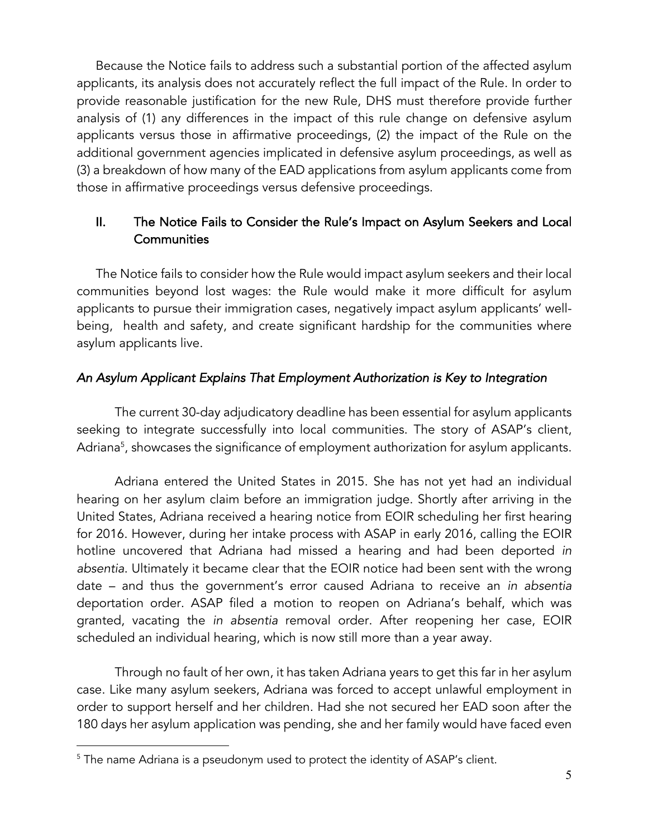Because the Notice fails to address such a substantial portion of the affected asylum applicants, its analysis does not accurately reflect the full impact of the Rule. In order to provide reasonable justification for the new Rule, DHS must therefore provide further analysis of (1) any differences in the impact of this rule change on defensive asylum applicants versus those in affirmative proceedings, (2) the impact of the Rule on the additional government agencies implicated in defensive asylum proceedings, as well as (3) a breakdown of how many of the EAD applications from asylum applicants come from those in affirmative proceedings versus defensive proceedings.

# II. The Notice Fails to Consider the Rule's Impact on Asylum Seekers and Local **Communities**

The Notice fails to consider how the Rule would impact asylum seekers and their local communities beyond lost wages: the Rule would make it more difficult for asylum applicants to pursue their immigration cases, negatively impact asylum applicants' wellbeing, health and safety, and create significant hardship for the communities where asylum applicants live.

## *An Asylum Applicant Explains That Employment Authorization is Key to Integration*

The current 30-day adjudicatory deadline has been essential for asylum applicants seeking to integrate successfully into local communities. The story of ASAP's client, Adriana<sup>5</sup>, showcases the significance of employment authorization for asylum applicants.

Adriana entered the United States in 2015. She has not yet had an individual hearing on her asylum claim before an immigration judge. Shortly after arriving in the United States, Adriana received a hearing notice from EOIR scheduling her first hearing for 2016. However, during her intake process with ASAP in early 2016, calling the EOIR hotline uncovered that Adriana had missed a hearing and had been deported *in absentia*. Ultimately it became clear that the EOIR notice had been sent with the wrong date – and thus the government's error caused Adriana to receive an *in absentia* deportation order. ASAP filed a motion to reopen on Adriana's behalf, which was granted, vacating the *in absentia* removal order. After reopening her case, EOIR scheduled an individual hearing, which is now still more than a year away.

Through no fault of her own, it has taken Adriana years to get this far in her asylum case. Like many asylum seekers, Adriana was forced to accept unlawful employment in order to support herself and her children. Had she not secured her EAD soon after the 180 days her asylum application was pending, she and her family would have faced even

<sup>&</sup>lt;sup>5</sup> The name Adriana is a pseudonym used to protect the identity of ASAP's client.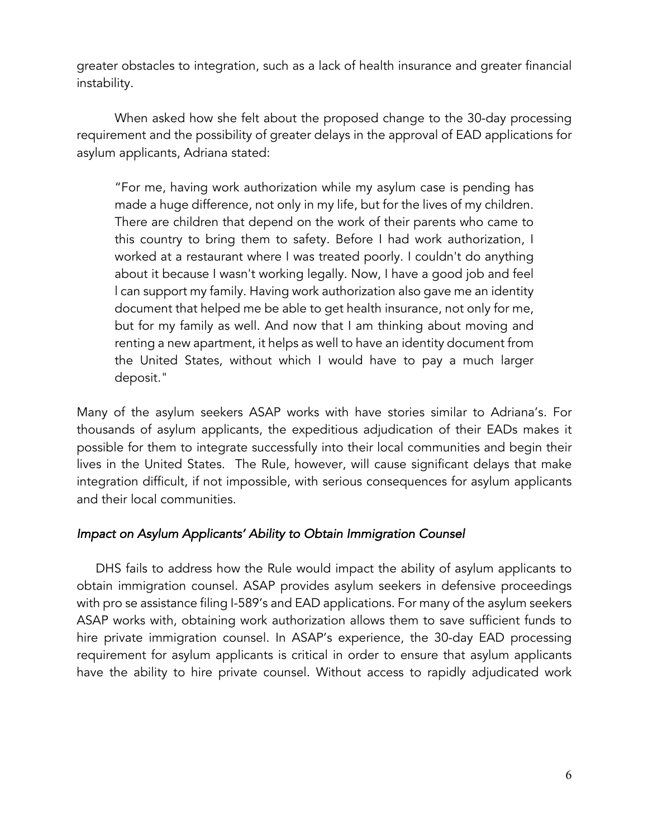greater obstacles to integration, such as a lack of health insurance and greater financial instability.

When asked how she felt about the proposed change to the 30-day processing requirement and the possibility of greater delays in the approval of EAD applications for asylum applicants, Adriana stated:

"For me, having work authorization while my asylum case is pending has made a huge difference, not only in my life, but for the lives of my children. There are children that depend on the work of their parents who came to this country to bring them to safety. Before I had work authorization, I worked at a restaurant where I was treated poorly. I couldn't do anything about it because I wasn't working legally. Now, I have a good job and feel l can support my family. Having work authorization also gave me an identity document that helped me be able to get health insurance, not only for me, but for my family as well. And now that I am thinking about moving and renting a new apartment, it helps as well to have an identity document from the United States, without which I would have to pay a much larger deposit."

Many of the asylum seekers ASAP works with have stories similar to Adriana's. For thousands of asylum applicants, the expeditious adjudication of their EADs makes it possible for them to integrate successfully into their local communities and begin their lives in the United States. The Rule, however, will cause significant delays that make integration difficult, if not impossible, with serious consequences for asylum applicants and their local communities.

### *Impact on Asylum Applicants' Ability to Obtain Immigration Counsel*

DHS fails to address how the Rule would impact the ability of asylum applicants to obtain immigration counsel. ASAP provides asylum seekers in defensive proceedings with pro se assistance filing I-589's and EAD applications. For many of the asylum seekers ASAP works with, obtaining work authorization allows them to save sufficient funds to hire private immigration counsel. In ASAP's experience, the 30-day EAD processing requirement for asylum applicants is critical in order to ensure that asylum applicants have the ability to hire private counsel. Without access to rapidly adjudicated work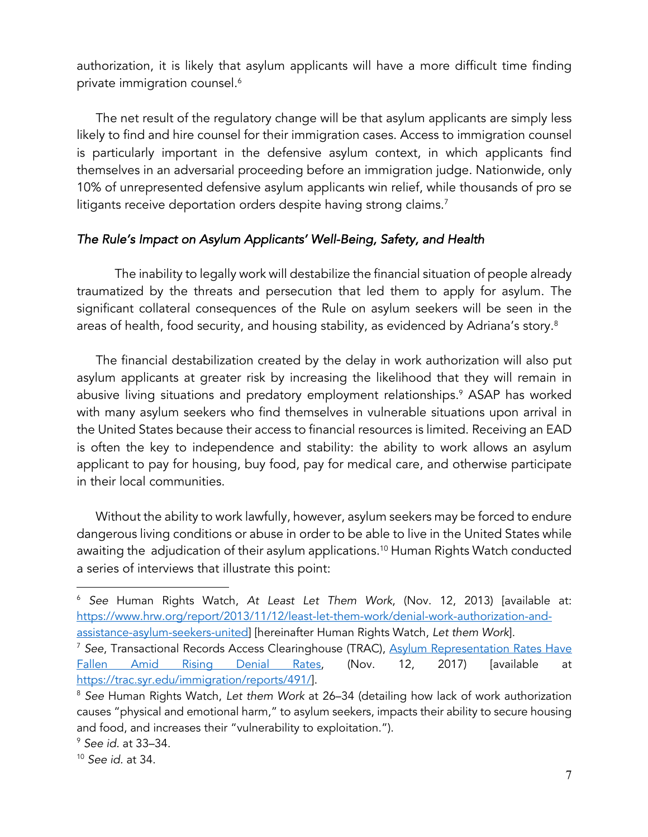authorization, it is likely that asylum applicants will have a more difficult time finding private immigration counsel.6

The net result of the regulatory change will be that asylum applicants are simply less likely to find and hire counsel for their immigration cases. Access to immigration counsel is particularly important in the defensive asylum context, in which applicants find themselves in an adversarial proceeding before an immigration judge. Nationwide, only 10% of unrepresented defensive asylum applicants win relief, while thousands of pro se litigants receive deportation orders despite having strong claims.<sup>7</sup>

### *The Rule's Impact on Asylum Applicants' Well-Being, Safety, and Health*

The inability to legally work will destabilize the financial situation of people already traumatized by the threats and persecution that led them to apply for asylum. The significant collateral consequences of the Rule on asylum seekers will be seen in the areas of health, food security, and housing stability, as evidenced by Adriana's story.<sup>8</sup>

The financial destabilization created by the delay in work authorization will also put asylum applicants at greater risk by increasing the likelihood that they will remain in abusive living situations and predatory employment relationships.<sup>9</sup> ASAP has worked with many asylum seekers who find themselves in vulnerable situations upon arrival in the United States because their access to financial resources is limited. Receiving an EAD is often the key to independence and stability: the ability to work allows an asylum applicant to pay for housing, buy food, pay for medical care, and otherwise participate in their local communities.

Without the ability to work lawfully, however, asylum seekers may be forced to endure dangerous living conditions or abuse in order to be able to live in the United States while awaiting the adjudication of their asylum applications.<sup>10</sup> Human Rights Watch conducted a series of interviews that illustrate this point:

<sup>6</sup> *See* Human Rights Watch, *At Least Let Them Work*, (Nov. 12, 2013) [available at: https://www.hrw.org/report/2013/11/12/least-let-them-work/denial-work-authorization-andassistance-asylum-seekers-united] [hereinafter Human Rights Watch, *Let them Work*].

<sup>7</sup> *See*, Transactional Records Access Clearinghouse (TRAC), Asylum Representation Rates Have Fallen Amid Rising Denial Rates, (Nov. 12, 2017) [available at https://trac.syr.edu/immigration/reports/491/].

<sup>8</sup> *See* Human Rights Watch, *Let them Work* at 26–34 (detailing how lack of work authorization causes "physical and emotional harm," to asylum seekers, impacts their ability to secure housing and food, and increases their "vulnerability to exploitation.").

<sup>9</sup> *See id.* at 33–34.

<sup>10</sup> *See id.* at 34.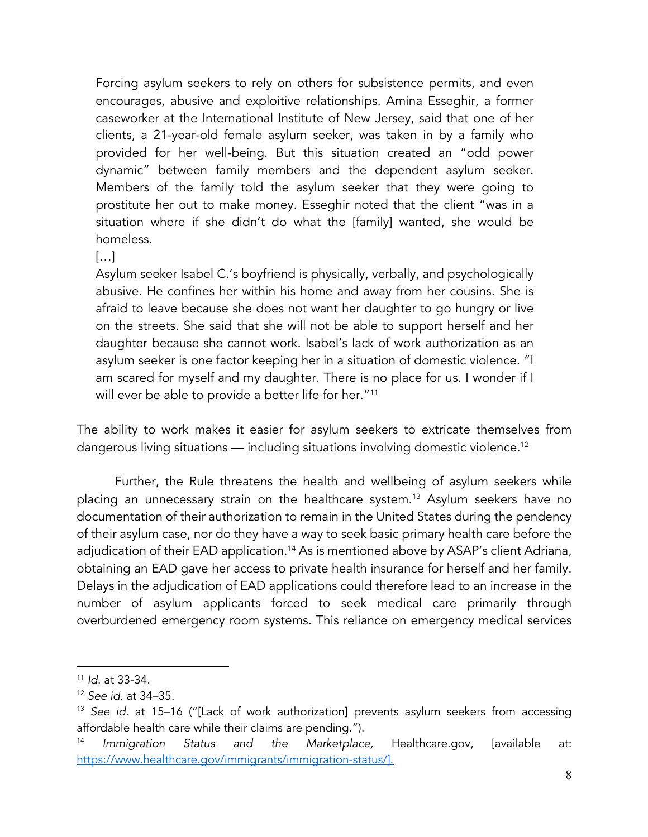Forcing asylum seekers to rely on others for subsistence permits, and even encourages, abusive and exploitive relationships. Amina Esseghir, a former caseworker at the International Institute of New Jersey, said that one of her clients, a 21-year-old female asylum seeker, was taken in by a family who provided for her well-being. But this situation created an "odd power dynamic" between family members and the dependent asylum seeker. Members of the family told the asylum seeker that they were going to prostitute her out to make money. Esseghir noted that the client "was in a situation where if she didn't do what the [family] wanted, she would be homeless.

[…]

Asylum seeker Isabel C.'s boyfriend is physically, verbally, and psychologically abusive. He confines her within his home and away from her cousins. She is afraid to leave because she does not want her daughter to go hungry or live on the streets. She said that she will not be able to support herself and her daughter because she cannot work. Isabel's lack of work authorization as an asylum seeker is one factor keeping her in a situation of domestic violence. "I am scared for myself and my daughter. There is no place for us. I wonder if I will ever be able to provide a better life for her."<sup>11</sup>

The ability to work makes it easier for asylum seekers to extricate themselves from dangerous living situations — including situations involving domestic violence.12

Further, the Rule threatens the health and wellbeing of asylum seekers while placing an unnecessary strain on the healthcare system.<sup>13</sup> Asylum seekers have no documentation of their authorization to remain in the United States during the pendency of their asylum case, nor do they have a way to seek basic primary health care before the adjudication of their EAD application.<sup>14</sup> As is mentioned above by ASAP's client Adriana, obtaining an EAD gave her access to private health insurance for herself and her family. Delays in the adjudication of EAD applications could therefore lead to an increase in the number of asylum applicants forced to seek medical care primarily through overburdened emergency room systems. This reliance on emergency medical services

<sup>11</sup> *Id*. at 33-34.

<sup>12</sup> *See id.* at 34–35.

<sup>13</sup> *See id*. at 15–16 ("[Lack of work authorization] prevents asylum seekers from accessing affordable health care while their claims are pending."). 14 *Immigration Status and the Marketplace,* Healthcare.gov, [available at:

https://www.healthcare.gov/immigrants/immigration-status/].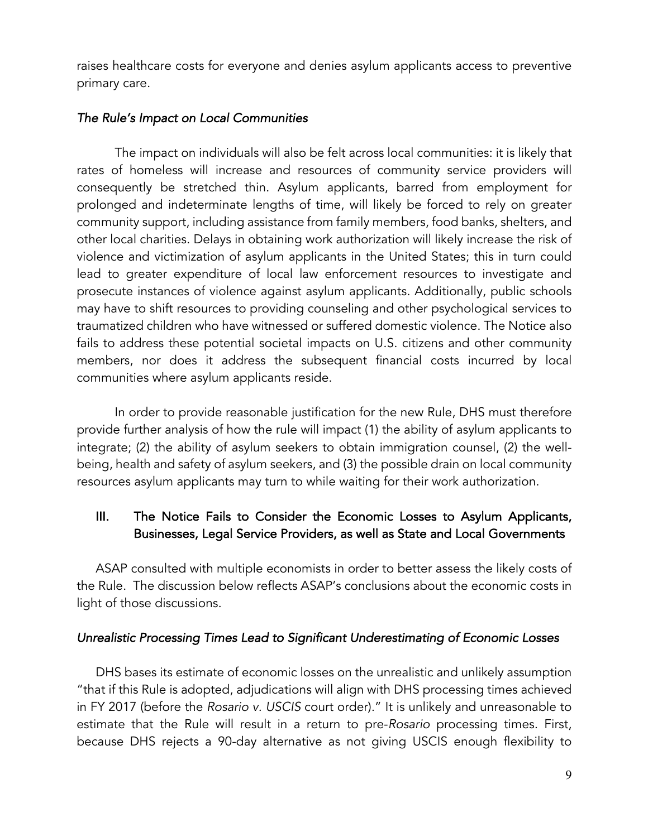raises healthcare costs for everyone and denies asylum applicants access to preventive primary care.

### *The Rule's Impact on Local Communities*

The impact on individuals will also be felt across local communities: it is likely that rates of homeless will increase and resources of community service providers will consequently be stretched thin. Asylum applicants, barred from employment for prolonged and indeterminate lengths of time, will likely be forced to rely on greater community support, including assistance from family members, food banks, shelters, and other local charities. Delays in obtaining work authorization will likely increase the risk of violence and victimization of asylum applicants in the United States; this in turn could lead to greater expenditure of local law enforcement resources to investigate and prosecute instances of violence against asylum applicants. Additionally, public schools may have to shift resources to providing counseling and other psychological services to traumatized children who have witnessed or suffered domestic violence. The Notice also fails to address these potential societal impacts on U.S. citizens and other community members, nor does it address the subsequent financial costs incurred by local communities where asylum applicants reside.

In order to provide reasonable justification for the new Rule, DHS must therefore provide further analysis of how the rule will impact (1) the ability of asylum applicants to integrate; (2) the ability of asylum seekers to obtain immigration counsel, (2) the wellbeing, health and safety of asylum seekers, and (3) the possible drain on local community resources asylum applicants may turn to while waiting for their work authorization.

# III. The Notice Fails to Consider the Economic Losses to Asylum Applicants, Businesses, Legal Service Providers, as well as State and Local Governments

ASAP consulted with multiple economists in order to better assess the likely costs of the Rule. The discussion below reflects ASAP's conclusions about the economic costs in light of those discussions.

## *Unrealistic Processing Times Lead to Significant Underestimating of Economic Losses*

DHS bases its estimate of economic losses on the unrealistic and unlikely assumption "that if this Rule is adopted, adjudications will align with DHS processing times achieved in FY 2017 (before the *Rosario v. USCIS* court order)." It is unlikely and unreasonable to estimate that the Rule will result in a return to pre-*Rosario* processing times. First, because DHS rejects a 90-day alternative as not giving USCIS enough flexibility to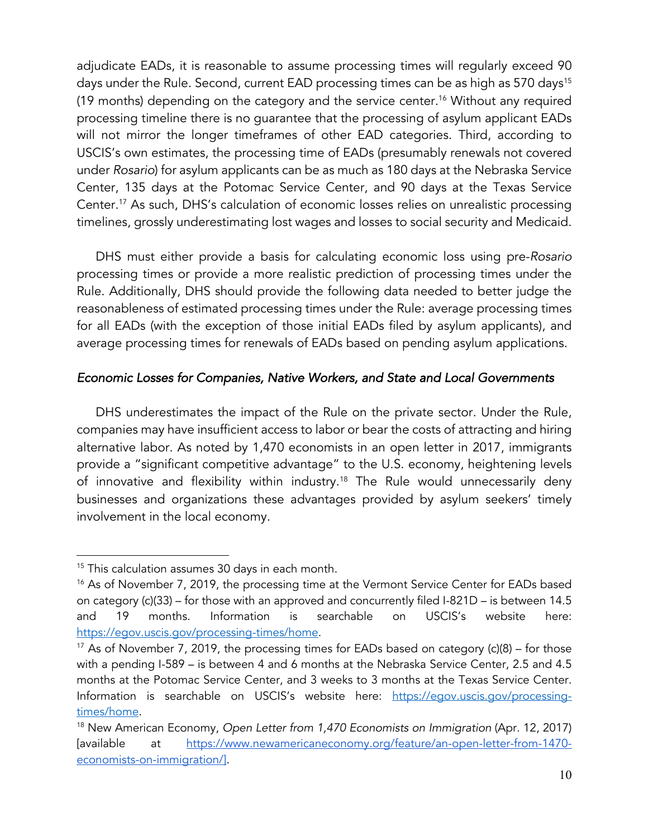adjudicate EADs, it is reasonable to assume processing times will regularly exceed 90 days under the Rule. Second, current EAD processing times can be as high as 570 days<sup>15</sup> (19 months) depending on the category and the service center. <sup>16</sup> Without any required processing timeline there is no guarantee that the processing of asylum applicant EADs will not mirror the longer timeframes of other EAD categories. Third, according to USCIS's own estimates, the processing time of EADs (presumably renewals not covered under *Rosario*) for asylum applicants can be as much as 180 days at the Nebraska Service Center, 135 days at the Potomac Service Center, and 90 days at the Texas Service Center. <sup>17</sup> As such, DHS's calculation of economic losses relies on unrealistic processing timelines, grossly underestimating lost wages and losses to social security and Medicaid.

DHS must either provide a basis for calculating economic loss using pre-*Rosario* processing times or provide a more realistic prediction of processing times under the Rule. Additionally, DHS should provide the following data needed to better judge the reasonableness of estimated processing times under the Rule: average processing times for all EADs (with the exception of those initial EADs filed by asylum applicants), and average processing times for renewals of EADs based on pending asylum applications.

### *Economic Losses for Companies, Native Workers, and State and Local Governments*

DHS underestimates the impact of the Rule on the private sector. Under the Rule, companies may have insufficient access to labor or bear the costs of attracting and hiring alternative labor. As noted by 1,470 economists in an open letter in 2017, immigrants provide a "significant competitive advantage" to the U.S. economy, heightening levels of innovative and flexibility within industry.<sup>18</sup> The Rule would unnecessarily deny businesses and organizations these advantages provided by asylum seekers' timely involvement in the local economy.

<sup>&</sup>lt;sup>15</sup> This calculation assumes 30 days in each month.

<sup>&</sup>lt;sup>16</sup> As of November 7, 2019, the processing time at the Vermont Service Center for EADs based on category (c)(33) – for those with an approved and concurrently filed I-821D – is between 14.5 and 19 months. Information is searchable on USCIS's website here: https://egov.uscis.gov/processing-times/home.

<sup>&</sup>lt;sup>17</sup> As of November 7, 2019, the processing times for EADs based on category (c)(8) – for those with a pending I-589 – is between 4 and 6 months at the Nebraska Service Center, 2.5 and 4.5 months at the Potomac Service Center, and 3 weeks to 3 months at the Texas Service Center. Information is searchable on USCIS's website here: https://egov.uscis.gov/processingtimes/home.

<sup>18</sup> New American Economy, *Open Letter from 1,470 Economists on Immigration* (Apr. 12, 2017) [available at https://www.newamericaneconomy.org/feature/an-open-letter-from-1470 economists-on-immigration/].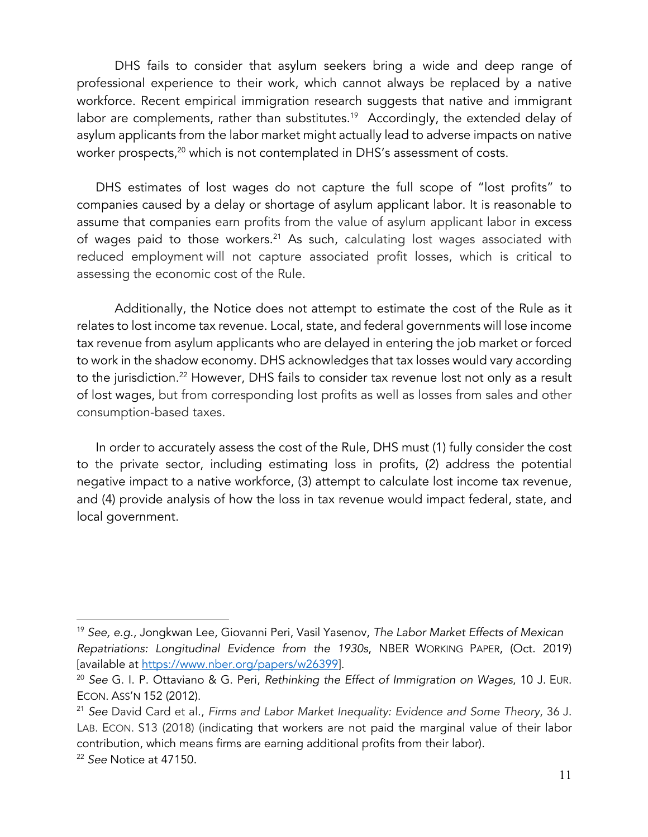DHS fails to consider that asylum seekers bring a wide and deep range of professional experience to their work, which cannot always be replaced by a native workforce. Recent empirical immigration research suggests that native and immigrant labor are complements, rather than substitutes.<sup>19</sup> Accordingly, the extended delay of asylum applicants from the labor market might actually lead to adverse impacts on native worker prospects, <sup>20</sup> which is not contemplated in DHS's assessment of costs.

DHS estimates of lost wages do not capture the full scope of "lost profits" to companies caused by a delay or shortage of asylum applicant labor. It is reasonable to assume that companies earn profits from the value of asylum applicant labor in excess of wages paid to those workers.<sup>21</sup> As such, calculating lost wages associated with reduced employment will not capture associated profit losses, which is critical to assessing the economic cost of the Rule.

Additionally, the Notice does not attempt to estimate the cost of the Rule as it relates to lost income tax revenue. Local, state, and federal governments will lose income tax revenue from asylum applicants who are delayed in entering the job market or forced to work in the shadow economy. DHS acknowledges that tax losses would vary according to the jurisdiction.<sup>22</sup> However, DHS fails to consider tax revenue lost not only as a result of lost wages, but from corresponding lost profits as well as losses from sales and other consumption-based taxes.

In order to accurately assess the cost of the Rule, DHS must (1) fully consider the cost to the private sector, including estimating loss in profits, (2) address the potential negative impact to a native workforce, (3) attempt to calculate lost income tax revenue, and (4) provide analysis of how the loss in tax revenue would impact federal, state, and local government.

<sup>19</sup> *See, e.g*., Jongkwan Lee, Giovanni Peri, Vasil Yasenov, *The Labor Market Effects of Mexican Repatriations: Longitudinal Evidence from the 1930s*, NBER WORKING PAPER, (Oct. 2019) [available at https://www.nber.org/papers/w26399].

<sup>20</sup> *See* G. I. P. Ottaviano & G. Peri, *Rethinking the Effect of Immigration on Wages*, 10 J. EUR. ECON. ASS'N 152 (2012).

<sup>21</sup> *See* David Card et al., *Firms and Labor Market Inequality: Evidence and Some Theory*, 36 J. LAB. ECON. S13 (2018) (indicating that workers are not paid the marginal value of their labor contribution, which means firms are earning additional profits from their labor). <sup>22</sup> *See* Notice at 47150.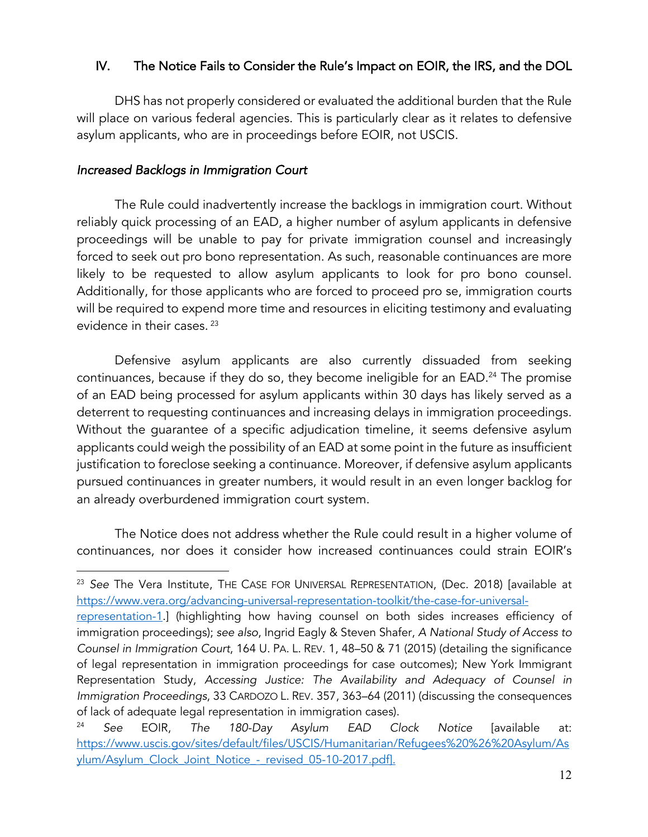## IV. The Notice Fails to Consider the Rule's Impact on EOIR, the IRS, and the DOL

DHS has not properly considered or evaluated the additional burden that the Rule will place on various federal agencies. This is particularly clear as it relates to defensive asylum applicants, who are in proceedings before EOIR, not USCIS.

### *Increased Backlogs in Immigration Court*

The Rule could inadvertently increase the backlogs in immigration court. Without reliably quick processing of an EAD, a higher number of asylum applicants in defensive proceedings will be unable to pay for private immigration counsel and increasingly forced to seek out pro bono representation. As such, reasonable continuances are more likely to be requested to allow asylum applicants to look for pro bono counsel. Additionally, for those applicants who are forced to proceed pro se, immigration courts will be required to expend more time and resources in eliciting testimony and evaluating evidence in their cases.<sup>23</sup>

Defensive asylum applicants are also currently dissuaded from seeking continuances, because if they do so, they become ineligible for an EAD.<sup>24</sup> The promise of an EAD being processed for asylum applicants within 30 days has likely served as a deterrent to requesting continuances and increasing delays in immigration proceedings. Without the guarantee of a specific adjudication timeline, it seems defensive asylum applicants could weigh the possibility of an EAD at some point in the future as insufficient justification to foreclose seeking a continuance. Moreover, if defensive asylum applicants pursued continuances in greater numbers, it would result in an even longer backlog for an already overburdened immigration court system.

The Notice does not address whether the Rule could result in a higher volume of continuances, nor does it consider how increased continuances could strain EOIR's

<sup>23</sup> *See* The Vera Institute, THE CASE FOR UNIVERSAL REPRESENTATION, (Dec. 2018) [available at https://www.vera.org/advancing-universal-representation-toolkit/the-case-for-universal-

representation-1.] (highlighting how having counsel on both sides increases efficiency of immigration proceedings); *see also*, Ingrid Eagly & Steven Shafer, *A National Study of Access to Counsel in Immigration Court*, 164 U. PA. L. REV. 1, 48–50 & 71 (2015) (detailing the significance of legal representation in immigration proceedings for case outcomes); New York Immigrant Representation Study, *Accessing Justice: The Availability and Adequacy of Counsel in Immigration Proceedings*, 33 CARDOZO L. REV. 357, 363–64 (2011) (discussing the consequences of lack of adequate legal representation in immigration cases).

<sup>24</sup> *See* EOIR, *The 180-Day Asylum EAD Clock Notice* [available at: https://www.uscis.gov/sites/default/files/USCIS/Humanitarian/Refugees%20%26%20Asylum/As ylum/Asylum\_Clock\_Joint\_Notice - revised\_05-10-2017.pdf].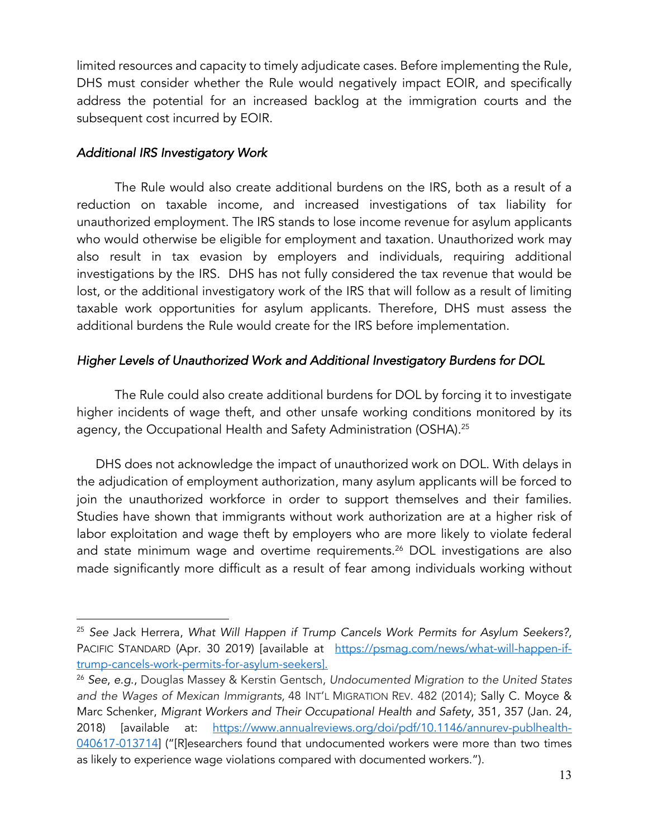limited resources and capacity to timely adjudicate cases. Before implementing the Rule, DHS must consider whether the Rule would negatively impact EOIR, and specifically address the potential for an increased backlog at the immigration courts and the subsequent cost incurred by EOIR.

### *Additional IRS Investigatory Work*

The Rule would also create additional burdens on the IRS, both as a result of a reduction on taxable income, and increased investigations of tax liability for unauthorized employment. The IRS stands to lose income revenue for asylum applicants who would otherwise be eligible for employment and taxation. Unauthorized work may also result in tax evasion by employers and individuals, requiring additional investigations by the IRS. DHS has not fully considered the tax revenue that would be lost, or the additional investigatory work of the IRS that will follow as a result of limiting taxable work opportunities for asylum applicants. Therefore, DHS must assess the additional burdens the Rule would create for the IRS before implementation.

## *Higher Levels of Unauthorized Work and Additional Investigatory Burdens for DOL*

The Rule could also create additional burdens for DOL by forcing it to investigate higher incidents of wage theft, and other unsafe working conditions monitored by its agency, the Occupational Health and Safety Administration (OSHA). 25

DHS does not acknowledge the impact of unauthorized work on DOL. With delays in the adjudication of employment authorization, many asylum applicants will be forced to join the unauthorized workforce in order to support themselves and their families. Studies have shown that immigrants without work authorization are at a higher risk of labor exploitation and wage theft by employers who are more likely to violate federal and state minimum wage and overtime requirements. <sup>26</sup> DOL investigations are also made significantly more difficult as a result of fear among individuals working without

<sup>25</sup> *See* Jack Herrera, *What Will Happen if Trump Cancels Work Permits for Asylum Seekers?,* PACIFIC STANDARD (Apr. 30 2019) [available at https://psmag.com/news/what-will-happen-iftrump-cancels-work-permits-for-asylum-seekers].

<sup>26</sup> *See*, *e.g*., Douglas Massey & Kerstin Gentsch, *Undocumented Migration to the United States and the Wages of Mexican Immigrants*, 48 INT'L MIGRATION REV. 482 (2014); Sally C. Moyce & Marc Schenker, *Migrant Workers and Their Occupational Health and Safety*, 351, 357 (Jan. 24, 2018) [available at: https://www.annualreviews.org/doi/pdf/10.1146/annurev-publhealth-040617-013714] ("[R]esearchers found that undocumented workers were more than two times as likely to experience wage violations compared with documented workers.").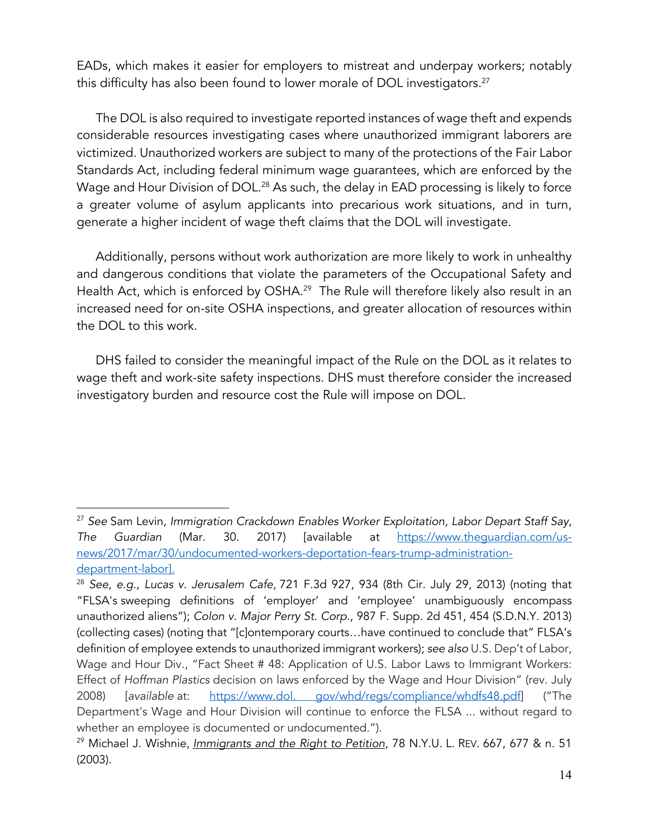EADs, which makes it easier for employers to mistreat and underpay workers; notably this difficulty has also been found to lower morale of DOL investigators.<sup>27</sup>

The DOL is also required to investigate reported instances of wage theft and expends considerable resources investigating cases where unauthorized immigrant laborers are victimized. Unauthorized workers are subject to many of the protections of the Fair Labor Standards Act, including federal minimum wage guarantees, which are enforced by the Wage and Hour Division of DOL.<sup>28</sup> As such, the delay in EAD processing is likely to force a greater volume of asylum applicants into precarious work situations, and in turn, generate a higher incident of wage theft claims that the DOL will investigate.

Additionally, persons without work authorization are more likely to work in unhealthy and dangerous conditions that violate the parameters of the Occupational Safety and Health Act, which is enforced by OSHA.<sup>29</sup> The Rule will therefore likely also result in an increased need for on-site OSHA inspections, and greater allocation of resources within the DOL to this work.

DHS failed to consider the meaningful impact of the Rule on the DOL as it relates to wage theft and work-site safety inspections. DHS must therefore consider the increased investigatory burden and resource cost the Rule will impose on DOL.

<sup>27</sup> *See* Sam Levin, *Immigration Crackdown Enables Worker Exploitation, Labor Depart Staff Say*, *The Guardian* (Mar. 30. 2017) [available at https://www.theguardian.com/usnews/2017/mar/30/undocumented-workers-deportation-fears-trump-administrationdepartment-labor].

<sup>28</sup> *See*, *e.g*., *Lucas v. Jerusalem Cafe,* 721 F.3d 927, 934 (8th Cir. July 29, 2013) (noting that "FLSA's sweeping definitions of 'employer' and 'employee' unambiguously encompass unauthorized aliens"); *Colon v. Major Perry St. Corp*., 987 F. Supp. 2d 451, 454 (S.D.N.Y. 2013) (collecting cases) (noting that "[c]ontemporary courts…have continued to conclude that" FLSA's definition of employee extends to unauthorized immigrant workers); *see also* U.S. Dep't of Labor, Wage and Hour Div., "Fact Sheet # 48: Application of U.S. Labor Laws to Immigrant Workers: Effect of *Hoffman Plastics* decision on laws enforced by the Wage and Hour Division" (rev. July 2008) [*available* at: https://www.dol. gov/whd/regs/compliance/whdfs48.pdf] ("The Department's Wage and Hour Division will continue to enforce the FLSA ... without regard to whether an employee is documented or undocumented.").

<sup>29</sup> Michael J. Wishnie, *Immigrants and the Right to Petition*, 78 N.Y.U. L. REV. 667, 677 & n. 51 (2003).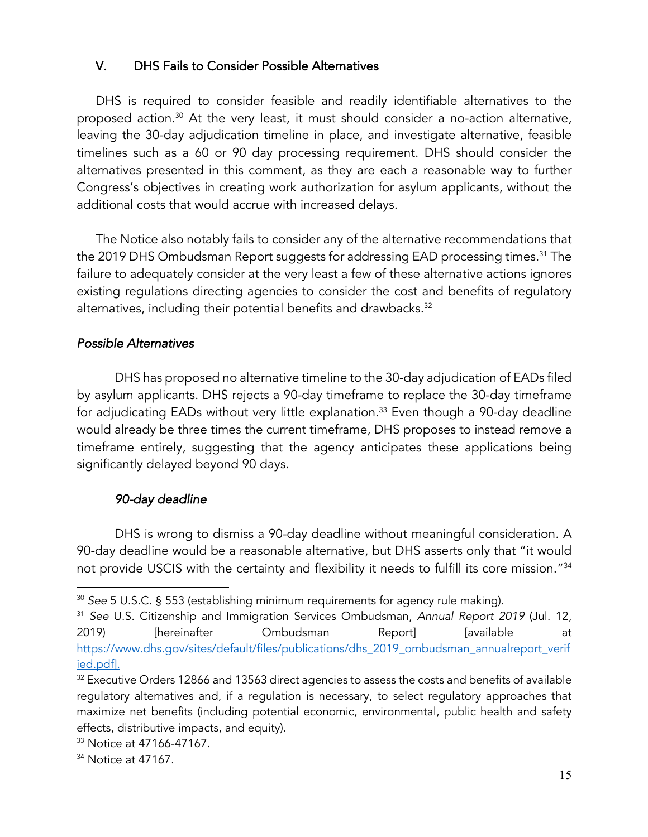## V. DHS Fails to Consider Possible Alternatives

DHS is required to consider feasible and readily identifiable alternatives to the proposed action.<sup>30</sup> At the very least, it must should consider a no-action alternative, leaving the 30-day adjudication timeline in place, and investigate alternative, feasible timelines such as a 60 or 90 day processing requirement. DHS should consider the alternatives presented in this comment, as they are each a reasonable way to further Congress's objectives in creating work authorization for asylum applicants, without the additional costs that would accrue with increased delays.

The Notice also notably fails to consider any of the alternative recommendations that the 2019 DHS Ombudsman Report suggests for addressing EAD processing times. <sup>31</sup> The failure to adequately consider at the very least a few of these alternative actions ignores existing regulations directing agencies to consider the cost and benefits of regulatory alternatives, including their potential benefits and drawbacks.<sup>32</sup>

#### *Possible Alternatives*

DHS has proposed no alternative timeline to the 30-day adjudication of EADs filed by asylum applicants. DHS rejects a 90-day timeframe to replace the 30-day timeframe for adjudicating EADs without very little explanation. <sup>33</sup> Even though a 90-day deadline would already be three times the current timeframe, DHS proposes to instead remove a timeframe entirely, suggesting that the agency anticipates these applications being significantly delayed beyond 90 days.

### *90-day deadline*

DHS is wrong to dismiss a 90-day deadline without meaningful consideration. A 90-day deadline would be a reasonable alternative, but DHS asserts only that "it would not provide USCIS with the certainty and flexibility it needs to fulfill its core mission."<sup>34</sup>

<sup>30</sup> *See* 5 U.S.C. § 553 (establishing minimum requirements for agency rule making).

<sup>31</sup> *See* U.S. Citizenship and Immigration Services Ombudsman, *Annual Report 2019* (Jul. 12, 2019) [hereinafter Ombudsman Report] [available at https://www.dhs.gov/sites/default/files/publications/dhs\_2019\_ombudsman\_annualreport\_verif ied.pdf].

 $32$  Executive Orders 12866 and 13563 direct agencies to assess the costs and benefits of available regulatory alternatives and, if a regulation is necessary, to select regulatory approaches that maximize net benefits (including potential economic, environmental, public health and safety effects, distributive impacts, and equity).

<sup>33</sup> Notice at 47166-47167.

<sup>&</sup>lt;sup>34</sup> Notice at 47167.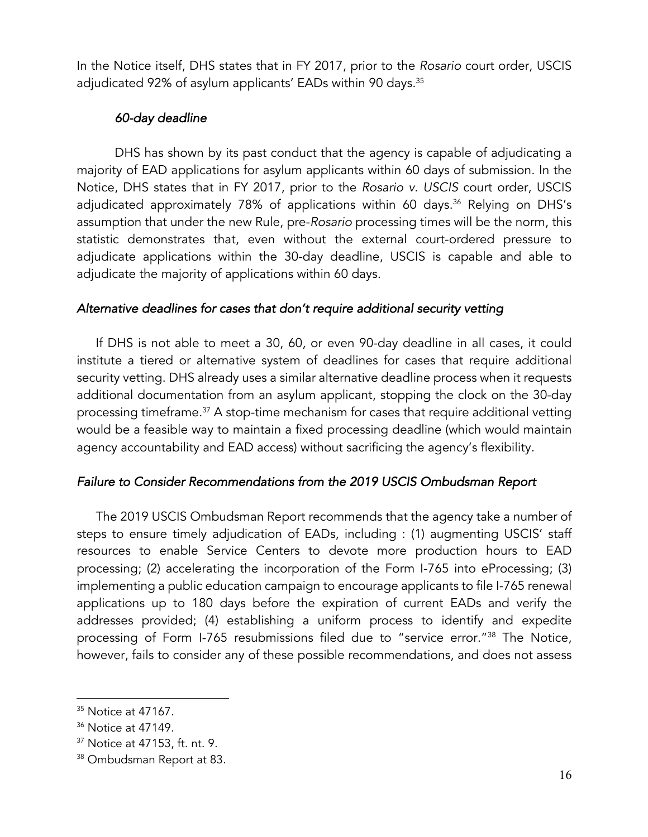In the Notice itself, DHS states that in FY 2017, prior to the *Rosario* court order, USCIS adjudicated 92% of asylum applicants' EADs within 90 days.<sup>35</sup>

## *60-day deadline*

DHS has shown by its past conduct that the agency is capable of adjudicating a majority of EAD applications for asylum applicants within 60 days of submission. In the Notice, DHS states that in FY 2017, prior to the *Rosario v. USCIS* court order, USCIS adjudicated approximately 78% of applications within 60 days.<sup>36</sup> Relying on DHS's assumption that under the new Rule, pre-*Rosario* processing times will be the norm, this statistic demonstrates that, even without the external court-ordered pressure to adjudicate applications within the 30-day deadline, USCIS is capable and able to adjudicate the majority of applications within 60 days.

### *Alternative deadlines for cases that don't require additional security vetting*

If DHS is not able to meet a 30, 60, or even 90-day deadline in all cases, it could institute a tiered or alternative system of deadlines for cases that require additional security vetting. DHS already uses a similar alternative deadline process when it requests additional documentation from an asylum applicant, stopping the clock on the 30-day processing timeframe.37 A stop-time mechanism for cases that require additional vetting would be a feasible way to maintain a fixed processing deadline (which would maintain agency accountability and EAD access) without sacrificing the agency's flexibility.

### *Failure to Consider Recommendations from the 2019 USCIS Ombudsman Report*

The 2019 USCIS Ombudsman Report recommends that the agency take a number of steps to ensure timely adjudication of EADs, including : (1) augmenting USCIS' staff resources to enable Service Centers to devote more production hours to EAD processing; (2) accelerating the incorporation of the Form I-765 into eProcessing; (3) implementing a public education campaign to encourage applicants to file I-765 renewal applications up to 180 days before the expiration of current EADs and verify the addresses provided; (4) establishing a uniform process to identify and expedite processing of Form I-765 resubmissions filed due to "service error."38 The Notice, however, fails to consider any of these possible recommendations, and does not assess

 $35$  Notice at 47167.

<sup>36</sup> Notice at 47149.

<sup>37</sup> Notice at 47153, ft. nt. 9.

<sup>38</sup> Ombudsman Report at 83.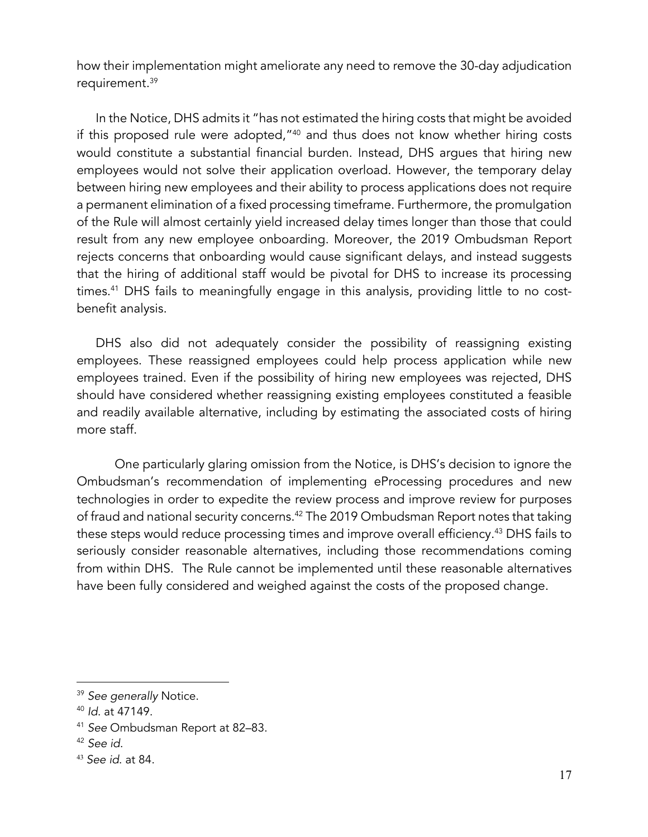how their implementation might ameliorate any need to remove the 30-day adjudication requirement.<sup>39</sup>

In the Notice, DHS admits it "has not estimated the hiring costs that might be avoided if this proposed rule were adopted,"40 and thus does not know whether hiring costs would constitute a substantial financial burden. Instead, DHS argues that hiring new employees would not solve their application overload. However, the temporary delay between hiring new employees and their ability to process applications does not require a permanent elimination of a fixed processing timeframe. Furthermore, the promulgation of the Rule will almost certainly yield increased delay times longer than those that could result from any new employee onboarding. Moreover, the 2019 Ombudsman Report rejects concerns that onboarding would cause significant delays, and instead suggests that the hiring of additional staff would be pivotal for DHS to increase its processing times.<sup>41</sup> DHS fails to meaningfully engage in this analysis, providing little to no costbenefit analysis.

DHS also did not adequately consider the possibility of reassigning existing employees. These reassigned employees could help process application while new employees trained. Even if the possibility of hiring new employees was rejected, DHS should have considered whether reassigning existing employees constituted a feasible and readily available alternative, including by estimating the associated costs of hiring more staff.

One particularly glaring omission from the Notice, is DHS's decision to ignore the Ombudsman's recommendation of implementing eProcessing procedures and new technologies in order to expedite the review process and improve review for purposes of fraud and national security concerns.<sup>42</sup> The 2019 Ombudsman Report notes that taking these steps would reduce processing times and improve overall efficiency.43 DHS fails to seriously consider reasonable alternatives, including those recommendations coming from within DHS. The Rule cannot be implemented until these reasonable alternatives have been fully considered and weighed against the costs of the proposed change.

<sup>39</sup> *See generally* Notice.

<sup>40</sup> *Id*. at 47149.

<sup>41</sup> *See* Ombudsman Report at 82–83.

<sup>42</sup> *See id*.

<sup>43</sup> *See id*. at 84.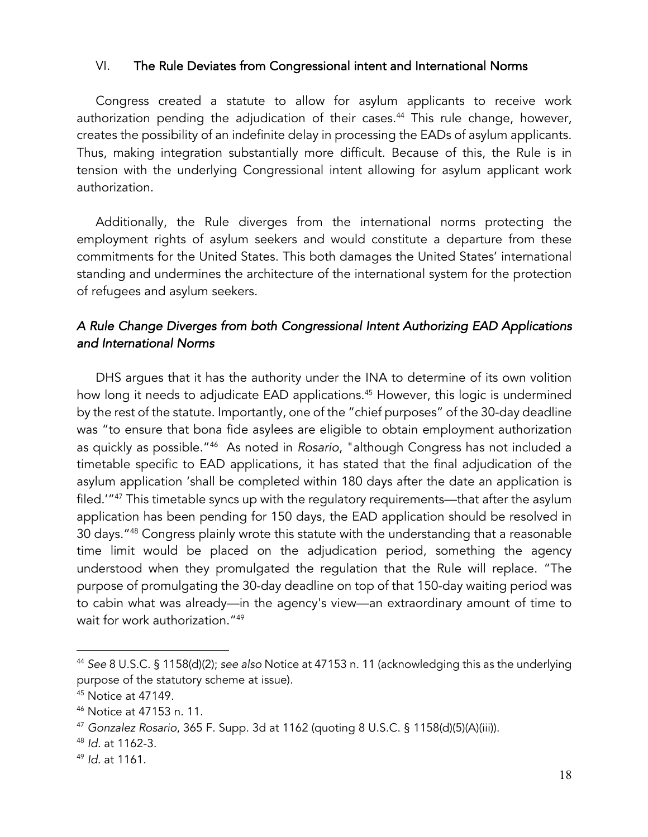### VI. The Rule Deviates from Congressional intent and International Norms

Congress created a statute to allow for asylum applicants to receive work authorization pending the adjudication of their cases.<sup>44</sup> This rule change, however, creates the possibility of an indefinite delay in processing the EADs of asylum applicants. Thus, making integration substantially more difficult. Because of this, the Rule is in tension with the underlying Congressional intent allowing for asylum applicant work authorization.

Additionally, the Rule diverges from the international norms protecting the employment rights of asylum seekers and would constitute a departure from these commitments for the United States. This both damages the United States' international standing and undermines the architecture of the international system for the protection of refugees and asylum seekers.

## *A Rule Change Diverges from both Congressional Intent Authorizing EAD Applications and International Norms*

DHS argues that it has the authority under the INA to determine of its own volition how long it needs to adjudicate EAD applications.<sup>45</sup> However, this logic is undermined by the rest of the statute. Importantly, one of the "chief purposes" of the 30-day deadline was "to ensure that bona fide asylees are eligible to obtain employment authorization as quickly as possible."46 As noted in *Rosario*, "although Congress has not included a timetable specific to EAD applications, it has stated that the final adjudication of the asylum application 'shall be completed within 180 days after the date an application is filed.'"47 This timetable syncs up with the regulatory requirements—that after the asylum application has been pending for 150 days, the EAD application should be resolved in 30 days."<sup>48</sup> Congress plainly wrote this statute with the understanding that a reasonable time limit would be placed on the adjudication period, something the agency understood when they promulgated the regulation that the Rule will replace. "The purpose of promulgating the 30-day deadline on top of that 150-day waiting period was to cabin what was already—in the agency's view—an extraordinary amount of time to wait for work authorization."<sup>49</sup>

<sup>44</sup> *See* 8 U.S.C. § 1158(d)(2); *see also* Notice at 47153 n. 11 (acknowledging this as the underlying purpose of the statutory scheme at issue).

<sup>45</sup> Notice at 47149.

<sup>46</sup> Notice at 47153 n. 11.

<sup>47</sup> *Gonzalez Rosario*, 365 F. Supp. 3d at 1162 (quoting 8 U.S.C. § 1158(d)(5)(A)(iii)).

<sup>48</sup> *Id.* at 1162-3.

<sup>49</sup> *Id*. at 1161.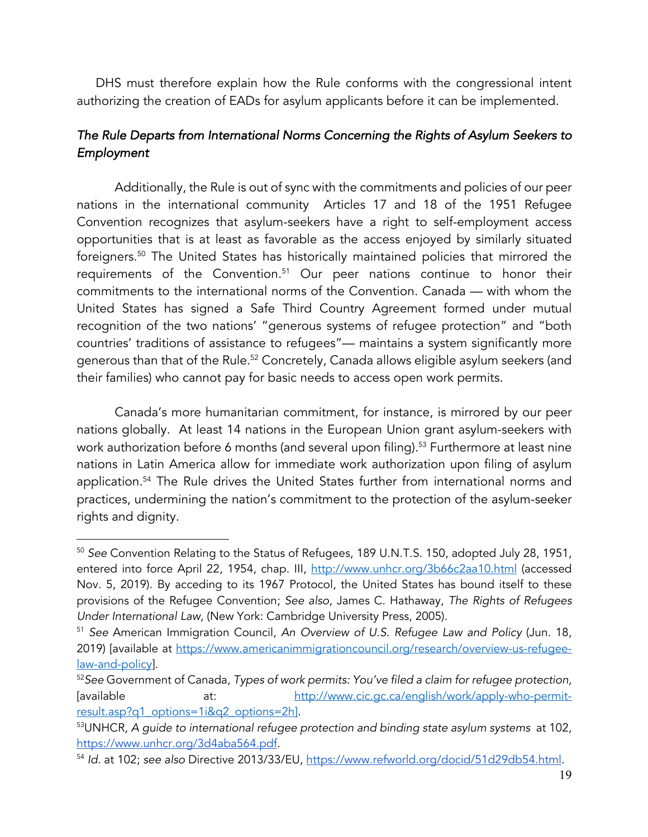DHS must therefore explain how the Rule conforms with the congressional intent authorizing the creation of EADs for asylum applicants before it can be implemented.

## *The Rule Departs from International Norms Concerning the Rights of Asylum Seekers to Employment*

Additionally, the Rule is out of sync with the commitments and policies of our peer nations in the international community Articles 17 and 18 of the 1951 Refugee Convention recognizes that asylum-seekers have a right to self-employment access opportunities that is at least as favorable as the access enjoyed by similarly situated foreigners. <sup>50</sup> The United States has historically maintained policies that mirrored the requirements of the Convention.<sup>51</sup> Our peer nations continue to honor their commitments to the international norms of the Convention. Canada — with whom the United States has signed a Safe Third Country Agreement formed under mutual recognition of the two nations' "generous systems of refugee protection" and "both countries' traditions of assistance to refugees"— maintains a system significantly more generous than that of the Rule.<sup>52</sup> Concretely, Canada allows eligible asylum seekers (and their families) who cannot pay for basic needs to access open work permits.

Canada's more humanitarian commitment, for instance, is mirrored by our peer nations globally. At least 14 nations in the European Union grant asylum-seekers with work authorization before 6 months (and several upon filing).<sup>53</sup> Furthermore at least nine nations in Latin America allow for immediate work authorization upon filing of asylum application.<sup>54</sup> The Rule drives the United States further from international norms and practices, undermining the nation's commitment to the protection of the asylum-seeker rights and dignity.

<sup>50</sup> *See* Convention Relating to the Status of Refugees, 189 U.N.T.S. 150, adopted July 28, 1951, entered into force April 22, 1954, chap. III, http://www.unhcr.org/3b66c2aa10.html (accessed Nov. 5, 2019). By acceding to its 1967 Protocol, the United States has bound itself to these provisions of the Refugee Convention; *See also*, James C. Hathaway, *The Rights of Refugees Under International Law*, (New York: Cambridge University Press, 2005).

<sup>51</sup> *See* American Immigration Council, *An Overview of U.S. Refugee Law and Policy* (Jun. 18, 2019) [available at https://www.americanimmigrationcouncil.org/research/overview-us-refugeelaw-and-policy].

<sup>52</sup>*See* Government of Canada, *Types of work permits: You've filed a claim for refugee protection,*  [available at: http://www.cic.gc.ca/english/work/apply-who-permitresult.asp?q1\_options=1i&q2\_options=2h].

<sup>53</sup>UNHCR, *A guide to international refugee protection and binding state asylum systems* at 102, https://www.unhcr.org/3d4aba564.pdf.

<sup>54</sup> *Id.* at 102; *see also* Directive 2013/33/EU, https://www.refworld.org/docid/51d29db54.html.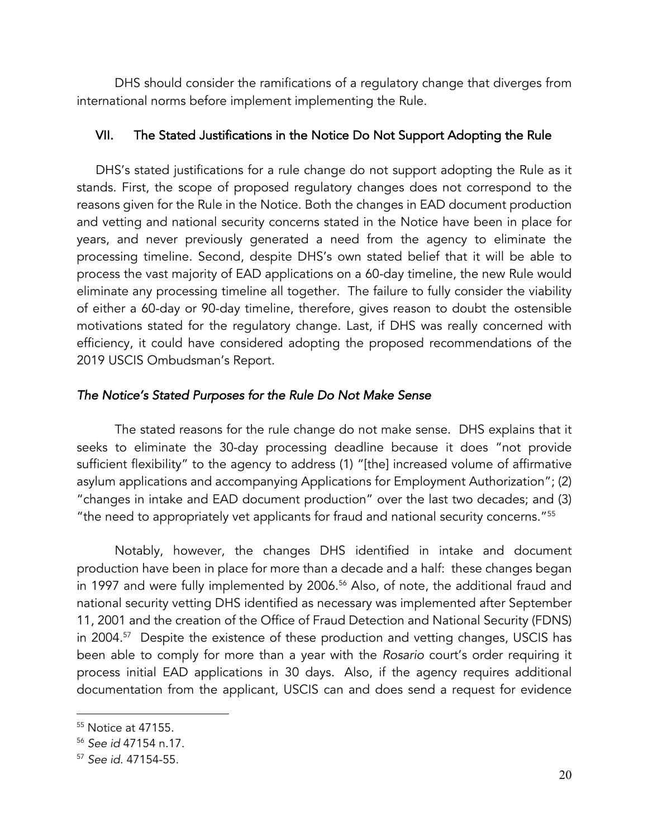DHS should consider the ramifications of a regulatory change that diverges from international norms before implement implementing the Rule.

## VII. The Stated Justifications in the Notice Do Not Support Adopting the Rule

DHS's stated justifications for a rule change do not support adopting the Rule as it stands. First, the scope of proposed regulatory changes does not correspond to the reasons given for the Rule in the Notice. Both the changes in EAD document production and vetting and national security concerns stated in the Notice have been in place for years, and never previously generated a need from the agency to eliminate the processing timeline. Second, despite DHS's own stated belief that it will be able to process the vast majority of EAD applications on a 60-day timeline, the new Rule would eliminate any processing timeline all together. The failure to fully consider the viability of either a 60-day or 90-day timeline, therefore, gives reason to doubt the ostensible motivations stated for the regulatory change. Last, if DHS was really concerned with efficiency, it could have considered adopting the proposed recommendations of the 2019 USCIS Ombudsman's Report.

## *The Notice's Stated Purposes for the Rule Do Not Make Sense*

The stated reasons for the rule change do not make sense. DHS explains that it seeks to eliminate the 30-day processing deadline because it does "not provide sufficient flexibility" to the agency to address (1) "[the] increased volume of affirmative asylum applications and accompanying Applications for Employment Authorization"; (2) "changes in intake and EAD document production" over the last two decades; and (3) "the need to appropriately vet applicants for fraud and national security concerns."55

Notably, however, the changes DHS identified in intake and document production have been in place for more than a decade and a half: these changes began in 1997 and were fully implemented by 2006.<sup>56</sup> Also, of note, the additional fraud and national security vetting DHS identified as necessary was implemented after September 11, 2001 and the creation of the Office of Fraud Detection and National Security (FDNS) in 2004.57 Despite the existence of these production and vetting changes, USCIS has been able to comply for more than a year with the *Rosario* court's order requiring it process initial EAD applications in 30 days. Also, if the agency requires additional documentation from the applicant, USCIS can and does send a request for evidence

<sup>55</sup> Notice at 47155.

<sup>56</sup> *See id* 47154 n.17.

<sup>57</sup> *See id*. 47154-55.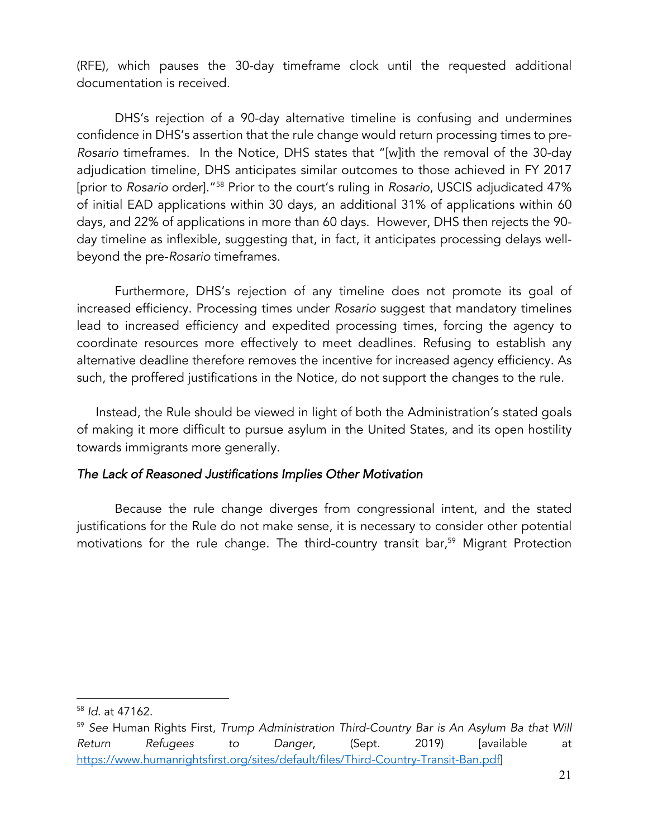(RFE), which pauses the 30-day timeframe clock until the requested additional documentation is received.

DHS's rejection of a 90-day alternative timeline is confusing and undermines confidence in DHS's assertion that the rule change would return processing times to pre-*Rosario* timeframes. In the Notice, DHS states that "[w]ith the removal of the 30-day adjudication timeline, DHS anticipates similar outcomes to those achieved in FY 2017 [prior to *Rosario* order]."58 Prior to the court's ruling in *Rosario*, USCIS adjudicated 47% of initial EAD applications within 30 days, an additional 31% of applications within 60 days, and 22% of applications in more than 60 days. However, DHS then rejects the 90 day timeline as inflexible, suggesting that, in fact, it anticipates processing delays wellbeyond the pre-*Rosario* timeframes.

Furthermore, DHS's rejection of any timeline does not promote its goal of increased efficiency. Processing times under *Rosario* suggest that mandatory timelines lead to increased efficiency and expedited processing times, forcing the agency to coordinate resources more effectively to meet deadlines. Refusing to establish any alternative deadline therefore removes the incentive for increased agency efficiency. As such, the proffered justifications in the Notice, do not support the changes to the rule.

Instead, the Rule should be viewed in light of both the Administration's stated goals of making it more difficult to pursue asylum in the United States, and its open hostility towards immigrants more generally.

### *The Lack of Reasoned Justifications Implies Other Motivation*

Because the rule change diverges from congressional intent, and the stated justifications for the Rule do not make sense, it is necessary to consider other potential motivations for the rule change. The third-country transit bar,<sup>59</sup> Migrant Protection

<sup>58</sup> *Id*. at 47162.

<sup>59</sup> *See* Human Rights First, *Trump Administration Third-Country Bar is An Asylum Ba that Will Return Refugees to Danger*, (Sept. 2019) [available at https://www.humanrightsfirst.org/sites/default/files/Third-Country-Transit-Ban.pdf]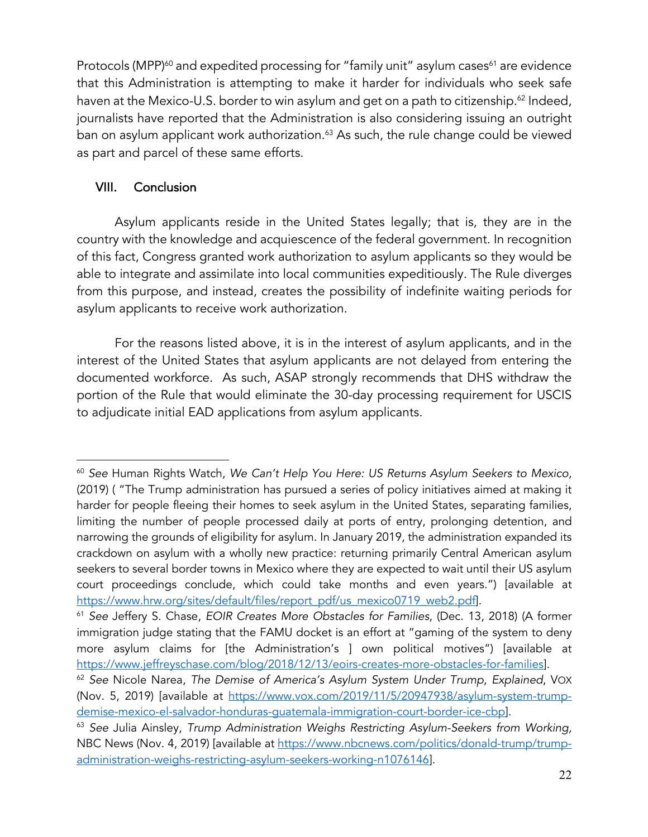Protocols (MPP)<sup>60</sup> and expedited processing for "family unit" asylum cases<sup>61</sup> are evidence that this Administration is attempting to make it harder for individuals who seek safe haven at the Mexico-U.S. border to win asylum and get on a path to citizenship.<sup>62</sup> Indeed, journalists have reported that the Administration is also considering issuing an outright ban on asylum applicant work authorization.<sup>63</sup> As such, the rule change could be viewed as part and parcel of these same efforts.

## VIII. Conclusion

Asylum applicants reside in the United States legally; that is, they are in the country with the knowledge and acquiescence of the federal government. In recognition of this fact, Congress granted work authorization to asylum applicants so they would be able to integrate and assimilate into local communities expeditiously. The Rule diverges from this purpose, and instead, creates the possibility of indefinite waiting periods for asylum applicants to receive work authorization.

For the reasons listed above, it is in the interest of asylum applicants, and in the interest of the United States that asylum applicants are not delayed from entering the documented workforce. As such, ASAP strongly recommends that DHS withdraw the portion of the Rule that would eliminate the 30-day processing requirement for USCIS to adjudicate initial EAD applications from asylum applicants.

<sup>60</sup> *See* Human Rights Watch, *We Can't Help You Here: US Returns Asylum Seekers to Mexico*, (2019) ( "The Trump administration has pursued a series of policy initiatives aimed at making it harder for people fleeing their homes to seek asylum in the United States, separating families, limiting the number of people processed daily at ports of entry, prolonging detention, and narrowing the grounds of eligibility for asylum. In January 2019, the administration expanded its crackdown on asylum with a wholly new practice: returning primarily Central American asylum seekers to several border towns in Mexico where they are expected to wait until their US asylum court proceedings conclude, which could take months and even years.") [available at https://www.hrw.org/sites/default/files/report\_pdf/us\_mexico0719\_web2.pdf].

<sup>61</sup> *See* Jeffery S. Chase, *EOIR Creates More Obstacles for Families*, (Dec. 13, 2018) (A former immigration judge stating that the FAMU docket is an effort at "gaming of the system to deny more asylum claims for [the Administration's ] own political motives") [available at https://www.jeffreyschase.com/blog/2018/12/13/eoirs-creates-more-obstacles-for-families].

<sup>62</sup> *See* Nicole Narea, *The Demise of America's Asylum System Under Trump*, *Explained*, VOX (Nov. 5, 2019) [available at https://www.vox.com/2019/11/5/20947938/asylum-system-trumpdemise-mexico-el-salvador-honduras-guatemala-immigration-court-border-ice-cbp].

<sup>63</sup> *See* Julia Ainsley, *Trump Administration Weighs Restricting Asylum-Seekers from Working,* NBC News (Nov. 4, 2019) [available at https://www.nbcnews.com/politics/donald-trump/trumpadministration-weighs-restricting-asylum-seekers-working-n1076146].